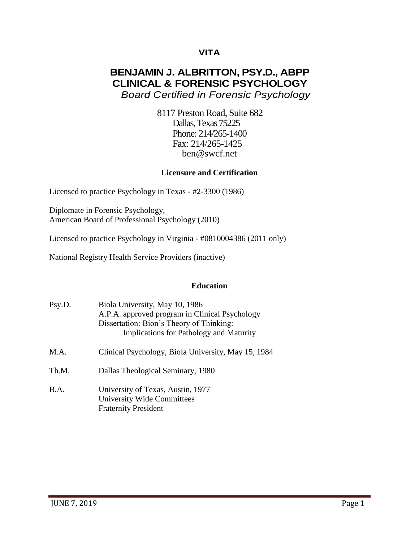# **VITA**

# **BENJAMIN J. ALBRITTON, PSY.D., ABPP CLINICAL & FORENSIC PSYCHOLOGY** *Board Certified in Forensic Psychology*

8117 Preston Road, Suite 682 Dallas, Texas 75225 Phone: 214/265-1400 Fax: 214/265-1425 [ben@swcf.net](mailto:ben@swcf.net)

#### **Licensure and Certification**

Licensed to practice Psychology in Texas - #2-3300 (1986)

Diplomate in Forensic Psychology, American Board of Professional Psychology (2010)

Licensed to practice Psychology in Virginia - #0810004386 (2011 only)

National Registry Health Service Providers (inactive)

#### **Education**

- Psy.D. Biola University, May 10, 1986 A.P.A. approved program in Clinical Psychology Dissertation: Bion's Theory of Thinking: Implications for Pathology and Maturity
- M.A. Clinical Psychology, Biola University, May 15, 1984
- Th.M. Dallas Theological Seminary, 1980
- B.A. University of Texas, Austin, 1977 University Wide Committees Fraternity President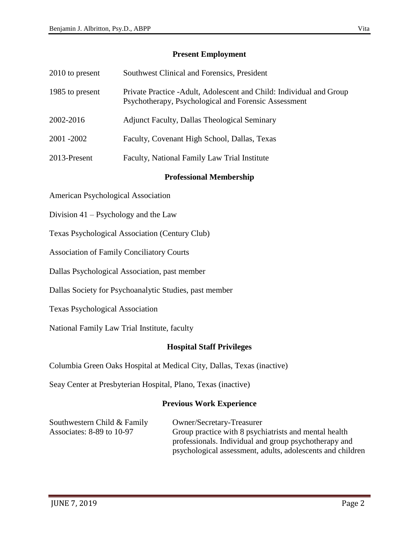### **Present Employment**

| 2010 to present | Southwest Clinical and Forensics, President                                                                                  |
|-----------------|------------------------------------------------------------------------------------------------------------------------------|
| 1985 to present | Private Practice - Adult, Adolescent and Child: Individual and Group<br>Psychotherapy, Psychological and Forensic Assessment |
| 2002-2016       | <b>Adjunct Faculty, Dallas Theological Seminary</b>                                                                          |
| 2001 - 2002     | Faculty, Covenant High School, Dallas, Texas                                                                                 |
| 2013-Present    | Faculty, National Family Law Trial Institute                                                                                 |

#### **Professional Membership**

American Psychological Association

- Division 41 Psychology and the Law
- Texas Psychological Association (Century Club)
- Association of Family Conciliatory Courts
- Dallas Psychological Association, past member
- Dallas Society for Psychoanalytic Studies, past member
- Texas Psychological Association
- National Family Law Trial Institute, faculty

## **Hospital Staff Privileges**

Columbia Green Oaks Hospital at Medical City, Dallas, Texas (inactive)

Seay Center at Presbyterian Hospital, Plano, Texas (inactive)

#### **Previous Work Experience**

| Southwestern Child $& Family$ | Owner/Secretary-Treasurer                                  |
|-------------------------------|------------------------------------------------------------|
| Associates: 8-89 to 10-97     | Group practice with 8 psychiatrists and mental health      |
|                               | professionals. Individual and group psychotherapy and      |
|                               | psychological assessment, adults, adolescents and children |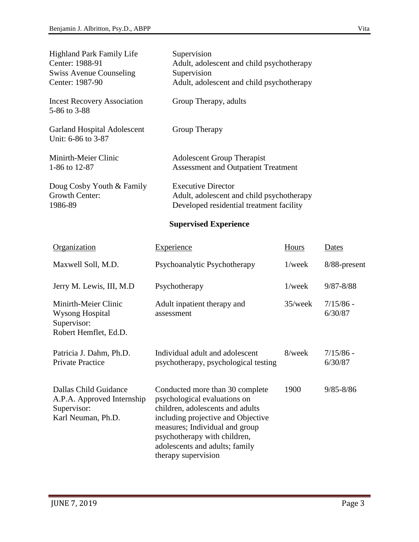| <b>Highland Park Family Life</b><br>Center: 1988-91<br><b>Swiss Avenue Counseling</b><br>Center: 1987-90 | Supervision<br>Adult, adolescent and child psychotherapy<br>Supervision<br>Adult, adolescent and child psychotherapy |       |       |
|----------------------------------------------------------------------------------------------------------|----------------------------------------------------------------------------------------------------------------------|-------|-------|
| <b>Incest Recovery Association</b><br>5-86 to 3-88                                                       | Group Therapy, adults                                                                                                |       |       |
| <b>Garland Hospital Adolescent</b><br>Unit: 6-86 to 3-87                                                 | Group Therapy                                                                                                        |       |       |
| Minirth-Meier Clinic<br>1-86 to 12-87                                                                    | <b>Adolescent Group Therapist</b><br><b>Assessment and Outpatient Treatment</b>                                      |       |       |
| Doug Cosby Youth & Family<br>Growth Center:<br>1986-89                                                   | <b>Executive Director</b><br>Adult, adolescent and child psychotherapy<br>Developed residential treatment facility   |       |       |
|                                                                                                          | <b>Supervised Experience</b>                                                                                         |       |       |
| Organization                                                                                             | <b>Experience</b>                                                                                                    | Hours | Dates |

| Maxwell Soll, M.D.                                                                       | Psychoanalytic Psychotherapy                                                                                                                                                                                                                                         | $1$ /week  | 8/88-present           |
|------------------------------------------------------------------------------------------|----------------------------------------------------------------------------------------------------------------------------------------------------------------------------------------------------------------------------------------------------------------------|------------|------------------------|
| Jerry M. Lewis, III, M.D.                                                                | Psychotherapy                                                                                                                                                                                                                                                        | $1$ /week  | $9/87 - 8/88$          |
| Minirth-Meier Clinic<br>Wysong Hospital<br>Supervisor:<br>Robert Hemflet, Ed.D.          | Adult inpatient therapy and<br>assessment                                                                                                                                                                                                                            | $35$ /week | $7/15/86$ -<br>6/30/87 |
| Patricia J. Dahm, Ph.D.<br>Private Practice                                              | Individual adult and adolescent<br>psychotherapy, psychological testing                                                                                                                                                                                              | 8/week     | $7/15/86$ -<br>6/30/87 |
| Dallas Child Guidance<br>A.P.A. Approved Internship<br>Supervisor:<br>Karl Neuman, Ph.D. | Conducted more than 30 complete<br>psychological evaluations on<br>children, adolescents and adults<br>including projective and Objective<br>measures; Individual and group<br>psychotherapy with children,<br>adolescents and adults; family<br>therapy supervision | 1900       | $9/85 - 8/86$          |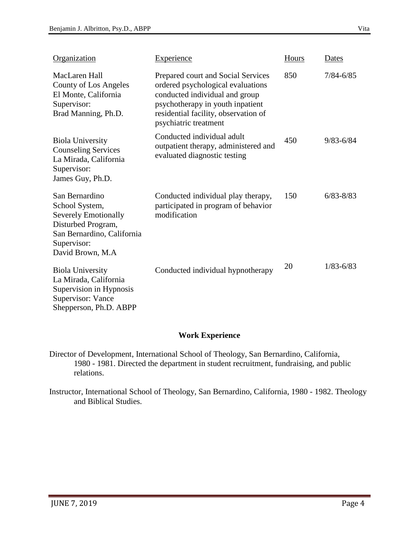| Organization                                                                                                                                            | <b>Experience</b>                                                                                                                                                                                              | Hours | Dates         |
|---------------------------------------------------------------------------------------------------------------------------------------------------------|----------------------------------------------------------------------------------------------------------------------------------------------------------------------------------------------------------------|-------|---------------|
| MacLaren Hall<br><b>County of Los Angeles</b><br>El Monte, California<br>Supervisor:<br>Brad Manning, Ph.D.                                             | Prepared court and Social Services<br>ordered psychological evaluations<br>conducted individual and group<br>psychotherapy in youth inpatient<br>residential facility, observation of<br>psychiatric treatment | 850   | $7/84 - 6/85$ |
| <b>Biola University</b><br><b>Counseling Services</b><br>La Mirada, California<br>Supervisor:<br>James Guy, Ph.D.                                       | Conducted individual adult<br>outpatient therapy, administered and<br>evaluated diagnostic testing                                                                                                             | 450   | $9/83 - 6/84$ |
| San Bernardino<br>School System,<br><b>Severely Emotionally</b><br>Disturbed Program,<br>San Bernardino, California<br>Supervisor:<br>David Brown, M.A. | Conducted individual play therapy,<br>participated in program of behavior<br>modification                                                                                                                      | 150   | $6/83 - 8/83$ |
| <b>Biola University</b><br>La Mirada, California<br>Supervision in Hypnosis<br><b>Supervisor: Vance</b><br>Shepperson, Ph.D. ABPP                       | Conducted individual hypnotherapy                                                                                                                                                                              | 20    | $1/83 - 6/83$ |

# **Work Experience**

Director of Development, International School of Theology, San Bernardino, California, 1980 - 1981. Directed the department in student recruitment, fundraising, and public relations.

Instructor, International School of Theology, San Bernardino, California, 1980 - 1982. Theology and Biblical Studies.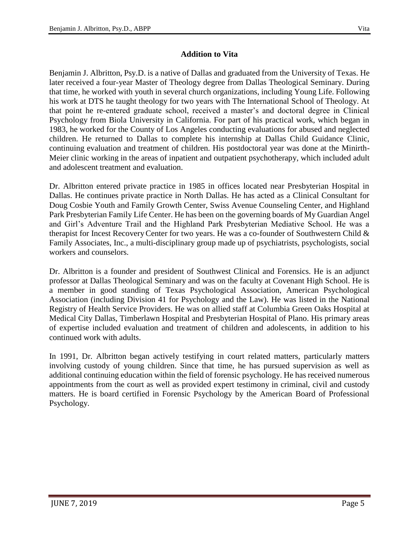# **Addition to Vita**

Benjamin J. Albritton, Psy.D. is a native of Dallas and graduated from the University of Texas. He later received a four-year Master of Theology degree from Dallas Theological Seminary. During that time, he worked with youth in several church organizations, including Young Life. Following his work at DTS he taught theology for two years with The International School of Theology. At that point he re-entered graduate school, received a master's and doctoral degree in Clinical Psychology from Biola University in California. For part of his practical work, which began in 1983, he worked for the County of Los Angeles conducting evaluations for abused and neglected children. He returned to Dallas to complete his internship at Dallas Child Guidance Clinic, continuing evaluation and treatment of children. His postdoctoral year was done at the Minirth-Meier clinic working in the areas of inpatient and outpatient psychotherapy, which included adult and adolescent treatment and evaluation.

Dr. Albritton entered private practice in 1985 in offices located near Presbyterian Hospital in Dallas. He continues private practice in North Dallas. He has acted as a Clinical Consultant for Doug Cosbie Youth and Family Growth Center, Swiss Avenue Counseling Center, and Highland Park Presbyterian Family Life Center. He has been on the governing boards of My Guardian Angel and Girl's Adventure Trail and the Highland Park Presbyterian Mediative School. He was a therapist for Incest RecoveryCenter for two years. He was a co-founder of Southwestern Child & Family Associates, Inc., a multi-disciplinary group made up of psychiatrists, psychologists, social workers and counselors.

Dr. Albritton is a founder and president of Southwest Clinical and Forensics. He is an adjunct professor at Dallas Theological Seminary and was on the faculty at Covenant High School. He is a member in good standing of Texas Psychological Association, American Psychological Association (including Division 41 for Psychology and the Law). He was listed in the National Registry of Health Service Providers. He was on allied staff at Columbia Green Oaks Hospital at Medical City Dallas, Timberlawn Hospital and Presbyterian Hospital of Plano. His primary areas of expertise included evaluation and treatment of children and adolescents, in addition to his continued work with adults.

In 1991, Dr. Albritton began actively testifying in court related matters, particularly matters involving custody of young children. Since that time, he has pursued supervision as well as additional continuing education within the field of forensic psychology. He has received numerous appointments from the court as well as provided expert testimony in criminal, civil and custody matters. He is board certified in Forensic Psychology by the American Board of Professional Psychology.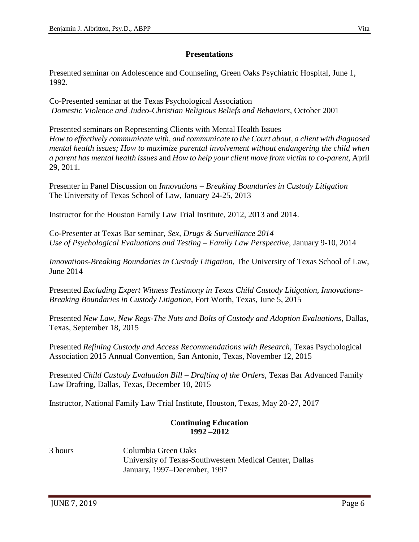## **Presentations**

Presented seminar on Adolescence and Counseling, Green Oaks Psychiatric Hospital, June 1, 1992.

Co-Presented seminar at the Texas Psychological Association *Domestic Violence and Judeo-Christian Religious Beliefs and Behaviors*, October 2001

Presented seminars on Representing Clients with Mental Health Issues *How to effectively communicate with, and communicate to the Court about, a client with diagnosed mental health issues; How to maximize parental involvement without endangering the child when a parent has mental health issues* and *How to help your client move from victim to co-parent,* April 29, 2011.

Presenter in Panel Discussion on *Innovations – Breaking Boundaries in Custody Litigation* The University of Texas School of Law, January 24-25, 2013

Instructor for the Houston Family Law Trial Institute, 2012, 2013 and 2014.

Co-Presenter at Texas Bar seminar, *Sex, Drugs & Surveillance 2014 Use of Psychological Evaluations and Testing – Family Law Perspective,* January 9-10, 2014

*Innovations-Breaking Boundaries in Custody Litigation,* The University of Texas School of Law, June 2014

Presented *Excluding Expert Witness Testimony in Texas Child Custody Litigation, Innovations-Breaking Boundaries in Custody Litigation,* Fort Worth, Texas, June 5, 2015

Presented *New Law, New Regs-The Nuts and Bolts of Custody and Adoption Evaluations,* Dallas, Texas, September 18, 2015

Presented *Refining Custody and Access Recommendations with Research*, Texas Psychological Association 2015 Annual Convention, San Antonio, Texas, November 12, 2015

Presented *Child Custody Evaluation Bill – Drafting of the Orders,* Texas Bar Advanced Family Law Drafting, Dallas, Texas, December 10, 2015

Instructor, National Family Law Trial Institute, Houston, Texas, May 20-27, 2017

#### **Continuing Education 1992 –2012**

3 hours Columbia Green Oaks University of Texas-Southwestern Medical Center, Dallas January, 1997–December, 1997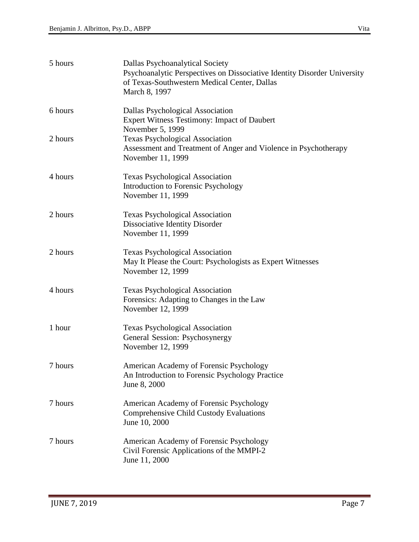| 5 hours | Dallas Psychoanalytical Society<br>Psychoanalytic Perspectives on Dissociative Identity Disorder University<br>of Texas-Southwestern Medical Center, Dallas<br>March 8, 1997 |
|---------|------------------------------------------------------------------------------------------------------------------------------------------------------------------------------|
| 6 hours | Dallas Psychological Association<br><b>Expert Witness Testimony: Impact of Daubert</b><br>November 5, 1999                                                                   |
| 2 hours | <b>Texas Psychological Association</b><br>Assessment and Treatment of Anger and Violence in Psychotherapy<br>November 11, 1999                                               |
| 4 hours | <b>Texas Psychological Association</b><br>Introduction to Forensic Psychology<br>November 11, 1999                                                                           |
| 2 hours | <b>Texas Psychological Association</b><br>Dissociative Identity Disorder<br>November 11, 1999                                                                                |
| 2 hours | <b>Texas Psychological Association</b><br>May It Please the Court: Psychologists as Expert Witnesses<br>November 12, 1999                                                    |
| 4 hours | <b>Texas Psychological Association</b><br>Forensics: Adapting to Changes in the Law<br>November 12, 1999                                                                     |
| 1 hour  | <b>Texas Psychological Association</b><br>General Session: Psychosynergy<br>November 12, 1999                                                                                |
| 7 hours | American Academy of Forensic Psychology<br>An Introduction to Forensic Psychology Practice<br>June 8, 2000                                                                   |
| 7 hours | American Academy of Forensic Psychology<br><b>Comprehensive Child Custody Evaluations</b><br>June 10, 2000                                                                   |
| 7 hours | American Academy of Forensic Psychology<br>Civil Forensic Applications of the MMPI-2<br>June 11, 2000                                                                        |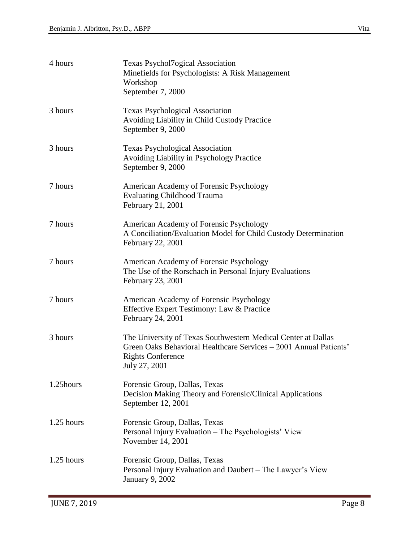| 4 hours      | <b>Texas Psychol7ogical Association</b><br>Minefields for Psychologists: A Risk Management<br>Workshop<br>September 7, 2000                                                     |
|--------------|---------------------------------------------------------------------------------------------------------------------------------------------------------------------------------|
| 3 hours      | <b>Texas Psychological Association</b><br>Avoiding Liability in Child Custody Practice<br>September 9, 2000                                                                     |
| 3 hours      | <b>Texas Psychological Association</b><br>Avoiding Liability in Psychology Practice<br>September 9, 2000                                                                        |
| 7 hours      | American Academy of Forensic Psychology<br><b>Evaluating Childhood Trauma</b><br>February 21, 2001                                                                              |
| 7 hours      | American Academy of Forensic Psychology<br>A Conciliation/Evaluation Model for Child Custody Determination<br>February 22, 2001                                                 |
| 7 hours      | American Academy of Forensic Psychology<br>The Use of the Rorschach in Personal Injury Evaluations<br>February 23, 2001                                                         |
| 7 hours      | American Academy of Forensic Psychology<br>Effective Expert Testimony: Law & Practice<br>February 24, 2001                                                                      |
| 3 hours      | The University of Texas Southwestern Medical Center at Dallas<br>Green Oaks Behavioral Healthcare Services – 2001 Annual Patients'<br><b>Rights Conference</b><br>July 27, 2001 |
| 1.25hours    | Forensic Group, Dallas, Texas<br>Decision Making Theory and Forensic/Clinical Applications<br>September 12, 2001                                                                |
| $1.25$ hours | Forensic Group, Dallas, Texas<br>Personal Injury Evaluation – The Psychologists' View<br>November 14, 2001                                                                      |
| $1.25$ hours | Forensic Group, Dallas, Texas<br>Personal Injury Evaluation and Daubert - The Lawyer's View<br>January 9, 2002                                                                  |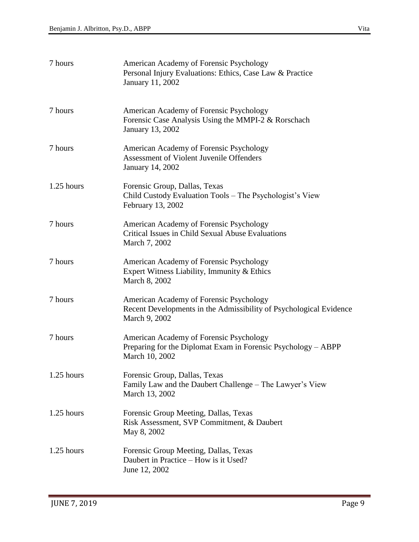| 7 hours      | American Academy of Forensic Psychology<br>Personal Injury Evaluations: Ethics, Case Law & Practice<br>January 11, 2002        |
|--------------|--------------------------------------------------------------------------------------------------------------------------------|
| 7 hours      | American Academy of Forensic Psychology<br>Forensic Case Analysis Using the MMPI-2 & Rorschach<br>January 13, 2002             |
| 7 hours      | American Academy of Forensic Psychology<br><b>Assessment of Violent Juvenile Offenders</b><br>January 14, 2002                 |
| $1.25$ hours | Forensic Group, Dallas, Texas<br>Child Custody Evaluation Tools – The Psychologist's View<br>February 13, 2002                 |
| 7 hours      | American Academy of Forensic Psychology<br>Critical Issues in Child Sexual Abuse Evaluations<br>March 7, 2002                  |
| 7 hours      | American Academy of Forensic Psychology<br>Expert Witness Liability, Immunity & Ethics<br>March 8, 2002                        |
| 7 hours      | American Academy of Forensic Psychology<br>Recent Developments in the Admissibility of Psychological Evidence<br>March 9, 2002 |
| 7 hours      | American Academy of Forensic Psychology<br>Preparing for the Diplomat Exam in Forensic Psychology - ABPP<br>March 10, 2002     |
| $1.25$ hours | Forensic Group, Dallas, Texas<br>Family Law and the Daubert Challenge – The Lawyer's View<br>March 13, 2002                    |
| $1.25$ hours | Forensic Group Meeting, Dallas, Texas<br>Risk Assessment, SVP Commitment, & Daubert<br>May 8, 2002                             |
| $1.25$ hours | Forensic Group Meeting, Dallas, Texas<br>Daubert in Practice – How is it Used?<br>June 12, 2002                                |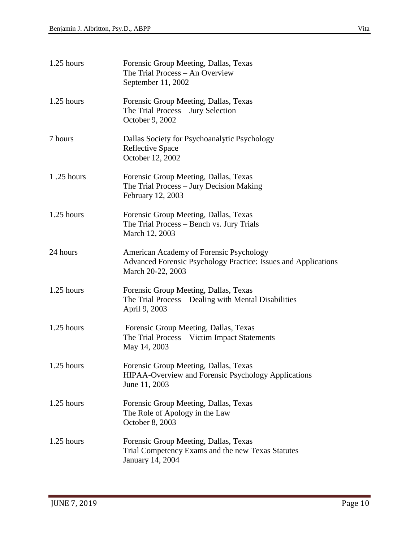| 1.25 hours   | Forensic Group Meeting, Dallas, Texas<br>The Trial Process - An Overview<br>September 11, 2002                                 |
|--------------|--------------------------------------------------------------------------------------------------------------------------------|
| $1.25$ hours | Forensic Group Meeting, Dallas, Texas<br>The Trial Process - Jury Selection<br>October 9, 2002                                 |
| 7 hours      | Dallas Society for Psychoanalytic Psychology<br><b>Reflective Space</b><br>October 12, 2002                                    |
| 1.25 hours   | Forensic Group Meeting, Dallas, Texas<br>The Trial Process – Jury Decision Making<br>February 12, 2003                         |
| 1.25 hours   | Forensic Group Meeting, Dallas, Texas<br>The Trial Process – Bench vs. Jury Trials<br>March 12, 2003                           |
| 24 hours     | American Academy of Forensic Psychology<br>Advanced Forensic Psychology Practice: Issues and Applications<br>March 20-22, 2003 |
| $1.25$ hours | Forensic Group Meeting, Dallas, Texas<br>The Trial Process – Dealing with Mental Disabilities<br>April 9, 2003                 |
| $1.25$ hours | Forensic Group Meeting, Dallas, Texas<br>The Trial Process - Victim Impact Statements<br>May 14, 2003                          |
| 1.25 hours   | Forensic Group Meeting, Dallas, Texas<br>HIPAA-Overview and Forensic Psychology Applications<br>June 11, 2003                  |
| 1.25 hours   | Forensic Group Meeting, Dallas, Texas<br>The Role of Apology in the Law<br>October 8, 2003                                     |
| $1.25$ hours | Forensic Group Meeting, Dallas, Texas<br>Trial Competency Exams and the new Texas Statutes<br>January 14, 2004                 |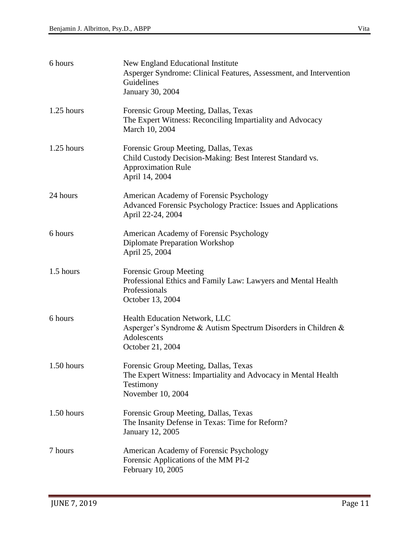| 6 hours      | New England Educational Institute<br>Asperger Syndrome: Clinical Features, Assessment, and Intervention<br>Guidelines<br><b>January 30, 2004</b>  |
|--------------|---------------------------------------------------------------------------------------------------------------------------------------------------|
| $1.25$ hours | Forensic Group Meeting, Dallas, Texas<br>The Expert Witness: Reconciling Impartiality and Advocacy<br>March 10, 2004                              |
| $1.25$ hours | Forensic Group Meeting, Dallas, Texas<br>Child Custody Decision-Making: Best Interest Standard vs.<br><b>Approximation Rule</b><br>April 14, 2004 |
| 24 hours     | American Academy of Forensic Psychology<br>Advanced Forensic Psychology Practice: Issues and Applications<br>April 22-24, 2004                    |
| 6 hours      | American Academy of Forensic Psychology<br><b>Diplomate Preparation Workshop</b><br>April 25, 2004                                                |
| 1.5 hours    | <b>Forensic Group Meeting</b><br>Professional Ethics and Family Law: Lawyers and Mental Health<br>Professionals<br>October 13, 2004               |
| 6 hours      | Health Education Network, LLC<br>Asperger's Syndrome & Autism Spectrum Disorders in Children &<br>Adolescents<br>October 21, 2004                 |
| 1.50 hours   | Forensic Group Meeting, Dallas, Texas<br>The Expert Witness: Impartiality and Advocacy in Mental Health<br>Testimony<br>November 10, 2004         |
| 1.50 hours   | Forensic Group Meeting, Dallas, Texas<br>The Insanity Defense in Texas: Time for Reform?<br>January 12, 2005                                      |
| 7 hours      | American Academy of Forensic Psychology<br>Forensic Applications of the MM PI-2<br>February 10, 2005                                              |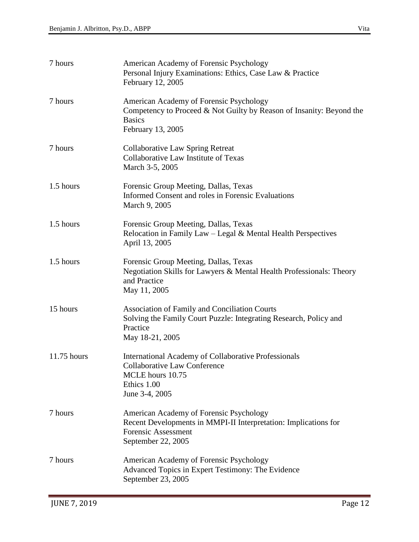| 7 hours     | American Academy of Forensic Psychology<br>Personal Injury Examinations: Ethics, Case Law & Practice<br>February 12, 2005                                      |
|-------------|----------------------------------------------------------------------------------------------------------------------------------------------------------------|
| 7 hours     | American Academy of Forensic Psychology<br>Competency to Proceed $& Not$ Guilty by Reason of Insanity: Beyond the<br><b>Basics</b><br>February 13, 2005        |
| 7 hours     | <b>Collaborative Law Spring Retreat</b><br>Collaborative Law Institute of Texas<br>March 3-5, 2005                                                             |
| 1.5 hours   | Forensic Group Meeting, Dallas, Texas<br>Informed Consent and roles in Forensic Evaluations<br>March 9, 2005                                                   |
| 1.5 hours   | Forensic Group Meeting, Dallas, Texas<br>Relocation in Family Law $-$ Legal & Mental Health Perspectives<br>April 13, 2005                                     |
| 1.5 hours   | Forensic Group Meeting, Dallas, Texas<br>Negotiation Skills for Lawyers & Mental Health Professionals: Theory<br>and Practice<br>May 11, 2005                  |
| 15 hours    | <b>Association of Family and Conciliation Courts</b><br>Solving the Family Court Puzzle: Integrating Research, Policy and<br>Practice<br>May 18-21, 2005       |
| 11.75 hours | <b>International Academy of Collaborative Professionals</b><br><b>Collaborative Law Conference</b><br>MCLE hours 10.75<br>Ethics 1.00<br>June 3-4, 2005        |
| 7 hours     | American Academy of Forensic Psychology<br>Recent Developments in MMPI-II Interpretation: Implications for<br><b>Forensic Assessment</b><br>September 22, 2005 |
| 7 hours     | American Academy of Forensic Psychology<br>Advanced Topics in Expert Testimony: The Evidence<br>September 23, 2005                                             |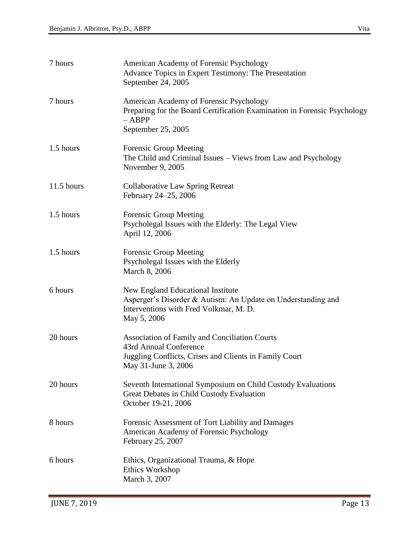| 7 hours    | American Academy of Forensic Psychology<br>Advance Topics in Expert Testimony: The Presentation<br>September 24, 2005                                           |
|------------|-----------------------------------------------------------------------------------------------------------------------------------------------------------------|
| 7 hours    | American Academy of Forensic Psychology<br>Preparing for the Board Certification Examination in Forensic Psychology<br>$-$ ABPP<br>September 25, 2005           |
| 1.5 hours  | <b>Forensic Group Meeting</b><br>The Child and Criminal Issues - Views from Law and Psychology<br>November 9, 2005                                              |
| 11.5 hours | <b>Collaborative Law Spring Retreat</b><br>February 24–25, 2006                                                                                                 |
| 1.5 hours  | <b>Forensic Group Meeting</b><br>Psycholegal Issues with the Elderly: The Legal View<br>April 12, 2006                                                          |
| 1.5 hours  | <b>Forensic Group Meeting</b><br>Psycholegal Issues with the Elderly<br>March 8, 2006                                                                           |
| 6 hours    | New England Educational Institute<br>Asperger's Disorder & Autism: An Update on Understanding and<br>Interventions with Fred Volkmar, M. D.<br>May 5, 2006      |
| 20 hours   | <b>Association of Family and Conciliation Courts</b><br>43rd Annual Conference<br>Juggling Conflicts, Crises and Clients in Family Court<br>May 31-June 3, 2006 |
| 20 hours   | Seventh International Symposium on Child Custody Evaluations<br>Great Debates in Child Custody Evaluation<br>October 19-21, 2006                                |
| 8 hours    | Forensic Assessment of Tort Liability and Damages<br>American Academy of Forensic Psychology<br>February 25, 2007                                               |
| 6 hours    | Ethics, Organizational Trauma, & Hope<br><b>Ethics Workshop</b><br>March 3, 2007                                                                                |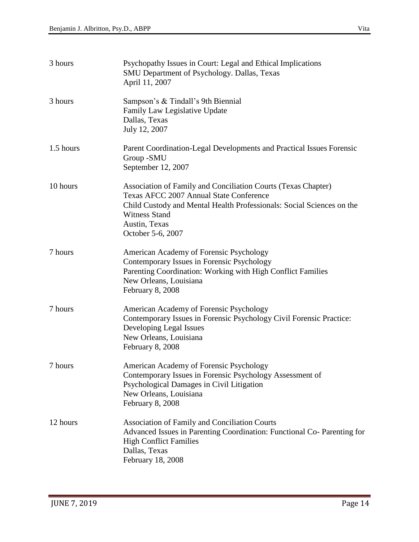| 3 hours   | Psychopathy Issues in Court: Legal and Ethical Implications<br><b>SMU Department of Psychology. Dallas, Texas</b><br>April 11, 2007                                                                                                             |
|-----------|-------------------------------------------------------------------------------------------------------------------------------------------------------------------------------------------------------------------------------------------------|
| 3 hours   | Sampson's & Tindall's 9th Biennial<br>Family Law Legislative Update<br>Dallas, Texas<br>July 12, 2007                                                                                                                                           |
| 1.5 hours | Parent Coordination-Legal Developments and Practical Issues Forensic<br>Group -SMU<br>September 12, 2007                                                                                                                                        |
| 10 hours  | Association of Family and Conciliation Courts (Texas Chapter)<br>Texas AFCC 2007 Annual State Conference<br>Child Custody and Mental Health Professionals: Social Sciences on the<br><b>Witness Stand</b><br>Austin, Texas<br>October 5-6, 2007 |
| 7 hours   | American Academy of Forensic Psychology<br>Contemporary Issues in Forensic Psychology<br>Parenting Coordination: Working with High Conflict Families<br>New Orleans, Louisiana<br>February 8, 2008                                              |
| 7 hours   | American Academy of Forensic Psychology<br>Contemporary Issues in Forensic Psychology Civil Forensic Practice:<br>Developing Legal Issues<br>New Orleans, Louisiana<br>February 8, 2008                                                         |
| 7 hours   | American Academy of Forensic Psychology<br>Contemporary Issues in Forensic Psychology Assessment of<br>Psychological Damages in Civil Litigation<br>New Orleans, Louisiana<br>February 8, 2008                                                  |
| 12 hours  | Association of Family and Conciliation Courts<br>Advanced Issues in Parenting Coordination: Functional Co- Parenting for<br><b>High Conflict Families</b><br>Dallas, Texas<br>February 18, 2008                                                 |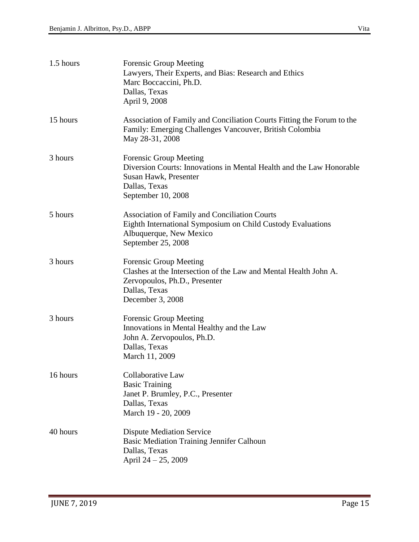| 1.5 hours | <b>Forensic Group Meeting</b><br>Lawyers, Their Experts, and Bias: Research and Ethics<br>Marc Boccaccini, Ph.D.<br>Dallas, Texas<br>April 9, 2008                      |
|-----------|-------------------------------------------------------------------------------------------------------------------------------------------------------------------------|
| 15 hours  | Association of Family and Conciliation Courts Fitting the Forum to the<br>Family: Emerging Challenges Vancouver, British Colombia<br>May 28-31, 2008                    |
| 3 hours   | <b>Forensic Group Meeting</b><br>Diversion Courts: Innovations in Mental Health and the Law Honorable<br>Susan Hawk, Presenter<br>Dallas, Texas<br>September 10, 2008   |
| 5 hours   | <b>Association of Family and Conciliation Courts</b><br>Eighth International Symposium on Child Custody Evaluations<br>Albuquerque, New Mexico<br>September 25, 2008    |
| 3 hours   | <b>Forensic Group Meeting</b><br>Clashes at the Intersection of the Law and Mental Health John A.<br>Zervopoulos, Ph.D., Presenter<br>Dallas, Texas<br>December 3, 2008 |
| 3 hours   | <b>Forensic Group Meeting</b><br>Innovations in Mental Healthy and the Law<br>John A. Zervopoulos, Ph.D.<br>Dallas, Texas<br>March 11, 2009                             |
| 16 hours  | Collaborative Law<br><b>Basic Training</b><br>Janet P. Brumley, P.C., Presenter<br>Dallas, Texas<br>March 19 - 20, 2009                                                 |
| 40 hours  | <b>Dispute Mediation Service</b><br>Basic Mediation Training Jennifer Calhoun<br>Dallas, Texas<br>April 24 - 25, 2009                                                   |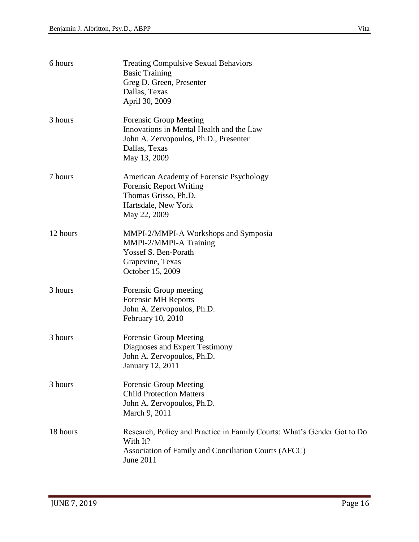| 6 hours  | <b>Treating Compulsive Sexual Behaviors</b><br><b>Basic Training</b><br>Greg D. Green, Presenter<br>Dallas, Texas<br>April 30, 2009                      |
|----------|----------------------------------------------------------------------------------------------------------------------------------------------------------|
| 3 hours  | <b>Forensic Group Meeting</b><br>Innovations in Mental Health and the Law<br>John A. Zervopoulos, Ph.D., Presenter<br>Dallas, Texas<br>May 13, 2009      |
| 7 hours  | American Academy of Forensic Psychology<br><b>Forensic Report Writing</b><br>Thomas Grisso, Ph.D.<br>Hartsdale, New York<br>May 22, 2009                 |
| 12 hours | MMPI-2/MMPI-A Workshops and Symposia<br>MMPI-2/MMPI-A Training<br>Yossef S. Ben-Porath<br>Grapevine, Texas<br>October 15, 2009                           |
| 3 hours  | Forensic Group meeting<br><b>Forensic MH Reports</b><br>John A. Zervopoulos, Ph.D.<br>February 10, 2010                                                  |
| 3 hours  | <b>Forensic Group Meeting</b><br>Diagnoses and Expert Testimony<br>John A. Zervopoulos, Ph.D.<br>January 12, 2011                                        |
| 3 hours  | <b>Forensic Group Meeting</b><br><b>Child Protection Matters</b><br>John A. Zervopoulos, Ph.D.<br>March 9, 2011                                          |
| 18 hours | Research, Policy and Practice in Family Courts: What's Gender Got to Do<br>With It?<br>Association of Family and Conciliation Courts (AFCC)<br>June 2011 |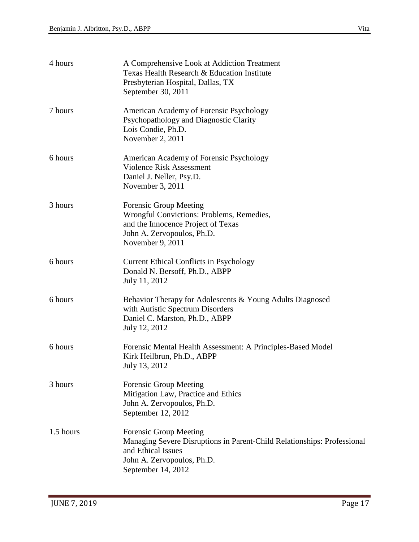| 4 hours   | A Comprehensive Look at Addiction Treatment<br>Texas Health Research & Education Institute<br>Presbyterian Hospital, Dallas, TX<br>September 30, 2011                              |
|-----------|------------------------------------------------------------------------------------------------------------------------------------------------------------------------------------|
| 7 hours   | American Academy of Forensic Psychology<br>Psychopathology and Diagnostic Clarity<br>Lois Condie, Ph.D.<br>November 2, 2011                                                        |
| 6 hours   | American Academy of Forensic Psychology<br><b>Violence Risk Assessment</b><br>Daniel J. Neller, Psy.D.<br>November 3, 2011                                                         |
| 3 hours   | <b>Forensic Group Meeting</b><br>Wrongful Convictions: Problems, Remedies,<br>and the Innocence Project of Texas<br>John A. Zervopoulos, Ph.D.<br>November 9, 2011                 |
| 6 hours   | <b>Current Ethical Conflicts in Psychology</b><br>Donald N. Bersoff, Ph.D., ABPP<br>July 11, 2012                                                                                  |
| 6 hours   | Behavior Therapy for Adolescents & Young Adults Diagnosed<br>with Autistic Spectrum Disorders<br>Daniel C. Marston, Ph.D., ABPP<br>July 12, 2012                                   |
| 6 hours   | Forensic Mental Health Assessment: A Principles-Based Model<br>Kirk Heilbrun, Ph.D., ABPP<br>July 13, 2012                                                                         |
| 3 hours   | <b>Forensic Group Meeting</b><br>Mitigation Law, Practice and Ethics<br>John A. Zervopoulos, Ph.D.<br>September 12, 2012                                                           |
| 1.5 hours | <b>Forensic Group Meeting</b><br>Managing Severe Disruptions in Parent-Child Relationships: Professional<br>and Ethical Issues<br>John A. Zervopoulos, Ph.D.<br>September 14, 2012 |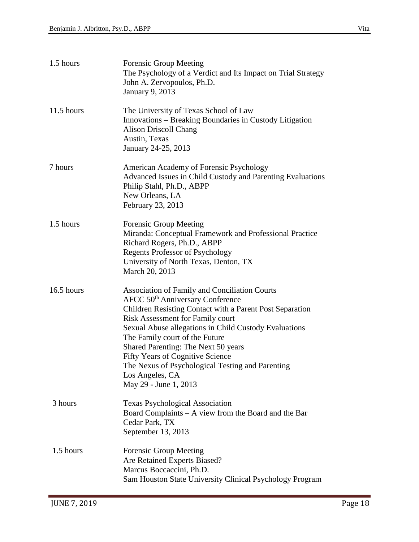| 1.5 hours    | <b>Forensic Group Meeting</b><br>The Psychology of a Verdict and Its Impact on Trial Strategy<br>John A. Zervopoulos, Ph.D.<br><b>January 9, 2013</b>                                                                                                                                                                                                                                                                                                                                    |
|--------------|------------------------------------------------------------------------------------------------------------------------------------------------------------------------------------------------------------------------------------------------------------------------------------------------------------------------------------------------------------------------------------------------------------------------------------------------------------------------------------------|
| $11.5$ hours | The University of Texas School of Law<br>Innovations – Breaking Boundaries in Custody Litigation<br><b>Alison Driscoll Chang</b><br>Austin, Texas<br>January 24-25, 2013                                                                                                                                                                                                                                                                                                                 |
| 7 hours      | American Academy of Forensic Psychology<br>Advanced Issues in Child Custody and Parenting Evaluations<br>Philip Stahl, Ph.D., ABPP<br>New Orleans, LA<br>February 23, 2013                                                                                                                                                                                                                                                                                                               |
| 1.5 hours    | <b>Forensic Group Meeting</b><br>Miranda: Conceptual Framework and Professional Practice<br>Richard Rogers, Ph.D., ABPP<br><b>Regents Professor of Psychology</b><br>University of North Texas, Denton, TX<br>March 20, 2013                                                                                                                                                                                                                                                             |
| 16.5 hours   | <b>Association of Family and Conciliation Courts</b><br>AFCC 50 <sup>th</sup> Anniversary Conference<br>Children Resisting Contact with a Parent Post Separation<br><b>Risk Assessment for Family court</b><br>Sexual Abuse allegations in Child Custody Evaluations<br>The Family court of the Future<br>Shared Parenting: The Next 50 years<br><b>Fifty Years of Cognitive Science</b><br>The Nexus of Psychological Testing and Parenting<br>Los Angeles, CA<br>May 29 - June 1, 2013 |
| 3 hours      | <b>Texas Psychological Association</b><br>Board Complaints – A view from the Board and the Bar<br>Cedar Park, TX<br>September 13, 2013                                                                                                                                                                                                                                                                                                                                                   |
| 1.5 hours    | <b>Forensic Group Meeting</b><br>Are Retained Experts Biased?<br>Marcus Boccaccini, Ph.D.<br>Sam Houston State University Clinical Psychology Program                                                                                                                                                                                                                                                                                                                                    |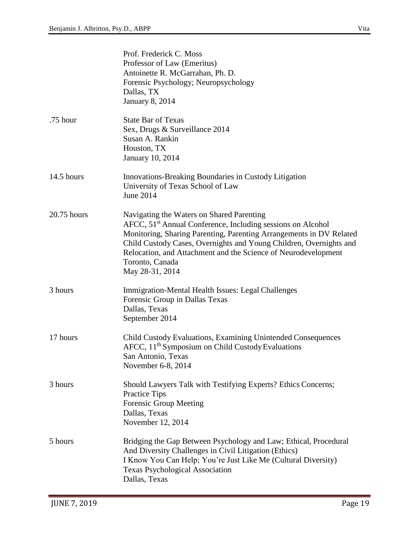|             | Prof. Frederick C. Moss<br>Professor of Law (Emeritus)<br>Antoinette R. McGarrahan, Ph. D.<br>Forensic Psychology; Neuropsychology<br>Dallas, TX<br><b>January 8, 2014</b>                                                                                                                                                                                                |
|-------------|---------------------------------------------------------------------------------------------------------------------------------------------------------------------------------------------------------------------------------------------------------------------------------------------------------------------------------------------------------------------------|
| .75 hour    | <b>State Bar of Texas</b><br>Sex, Drugs & Surveillance 2014<br>Susan A. Rankin<br>Houston, TX<br>January 10, 2014                                                                                                                                                                                                                                                         |
| 14.5 hours  | Innovations-Breaking Boundaries in Custody Litigation<br>University of Texas School of Law<br>June 2014                                                                                                                                                                                                                                                                   |
| 20.75 hours | Navigating the Waters on Shared Parenting<br>AFCC, 51 <sup>st</sup> Annual Conference, Including sessions on Alcohol<br>Monitoring, Sharing Parenting, Parenting Arrangements in DV Related<br>Child Custody Cases, Overnights and Young Children, Overnights and<br>Relocation, and Attachment and the Science of Neurodevelopment<br>Toronto, Canada<br>May 28-31, 2014 |
| 3 hours     | Immigration-Mental Health Issues: Legal Challenges<br>Forensic Group in Dallas Texas<br>Dallas, Texas<br>September 2014                                                                                                                                                                                                                                                   |
| 17 hours    | Child Custody Evaluations, Examining Unintended Consequences<br>AFCC, 11 <sup>th</sup> Symposium on Child Custody Evaluations<br>San Antonio, Texas<br>November 6-8, 2014                                                                                                                                                                                                 |
| 3 hours     | Should Lawyers Talk with Testifying Experts? Ethics Concerns;<br><b>Practice Tips</b><br><b>Forensic Group Meeting</b><br>Dallas, Texas<br>November 12, 2014                                                                                                                                                                                                              |
| 5 hours     | Bridging the Gap Between Psychology and Law; Ethical, Procedural<br>And Diversity Challenges in Civil Litigation (Ethics)<br>I Know You Can Help; You're Just Like Me (Cultural Diversity)<br><b>Texas Psychological Association</b><br>Dallas, Texas                                                                                                                     |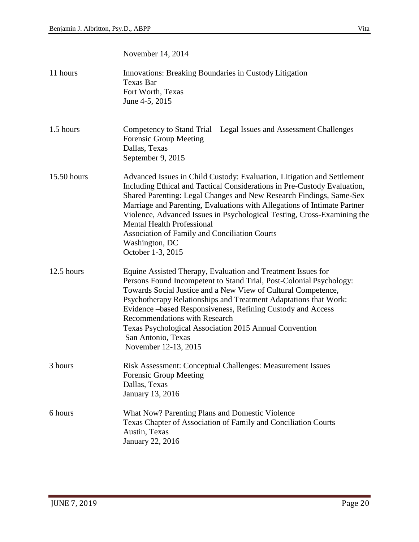November 14, 2014

| 11 hours    | Innovations: Breaking Boundaries in Custody Litigation<br><b>Texas Bar</b><br>Fort Worth, Texas<br>June 4-5, 2015                                                                                                                                                                                                                                                                                                                                                                                              |
|-------------|----------------------------------------------------------------------------------------------------------------------------------------------------------------------------------------------------------------------------------------------------------------------------------------------------------------------------------------------------------------------------------------------------------------------------------------------------------------------------------------------------------------|
| 1.5 hours   | Competency to Stand Trial – Legal Issues and Assessment Challenges<br><b>Forensic Group Meeting</b><br>Dallas, Texas<br>September 9, 2015                                                                                                                                                                                                                                                                                                                                                                      |
| 15.50 hours | Advanced Issues in Child Custody: Evaluation, Litigation and Settlement<br>Including Ethical and Tactical Considerations in Pre-Custody Evaluation,<br>Shared Parenting: Legal Changes and New Research Findings, Same-Sex<br>Marriage and Parenting, Evaluations with Allegations of Intimate Partner<br>Violence, Advanced Issues in Psychological Testing, Cross-Examining the<br><b>Mental Health Professional</b><br>Association of Family and Conciliation Courts<br>Washington, DC<br>October 1-3, 2015 |
| 12.5 hours  | Equine Assisted Therapy, Evaluation and Treatment Issues for<br>Persons Found Incompetent to Stand Trial, Post-Colonial Psychology:<br>Towards Social Justice and a New View of Cultural Competence,<br>Psychotherapy Relationships and Treatment Adaptations that Work:<br>Evidence – based Responsiveness, Refining Custody and Access<br><b>Recommendations with Research</b><br>Texas Psychological Association 2015 Annual Convention<br>San Antonio, Texas<br>November 12-13, 2015                       |
| 3 hours     | Risk Assessment: Conceptual Challenges: Measurement Issues<br><b>Forensic Group Meeting</b><br>Dallas, Texas<br>January 13, 2016                                                                                                                                                                                                                                                                                                                                                                               |
| 6 hours     | What Now? Parenting Plans and Domestic Violence<br>Texas Chapter of Association of Family and Conciliation Courts<br>Austin, Texas<br><b>January 22, 2016</b>                                                                                                                                                                                                                                                                                                                                                  |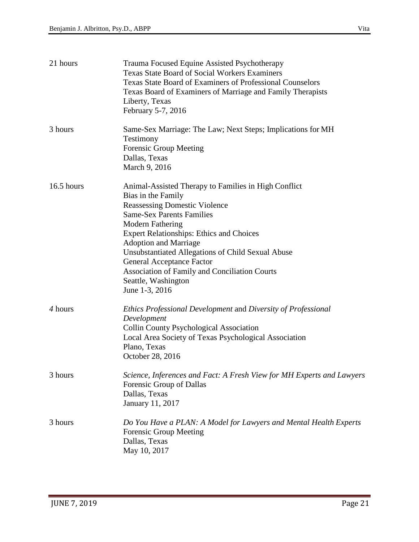| 21 hours   | Trauma Focused Equine Assisted Psychotherapy<br><b>Texas State Board of Social Workers Examiners</b><br><b>Texas State Board of Examiners of Professional Counselors</b><br>Texas Board of Examiners of Marriage and Family Therapists<br>Liberty, Texas<br>February 5-7, 2016                                                                                                                                                                                 |
|------------|----------------------------------------------------------------------------------------------------------------------------------------------------------------------------------------------------------------------------------------------------------------------------------------------------------------------------------------------------------------------------------------------------------------------------------------------------------------|
| 3 hours    | Same-Sex Marriage: The Law; Next Steps; Implications for MH<br>Testimony<br><b>Forensic Group Meeting</b><br>Dallas, Texas<br>March 9, 2016                                                                                                                                                                                                                                                                                                                    |
| 16.5 hours | Animal-Assisted Therapy to Families in High Conflict<br>Bias in the Family<br><b>Reassessing Domestic Violence</b><br><b>Same-Sex Parents Families</b><br><b>Modern Fathering</b><br><b>Expert Relationships: Ethics and Choices</b><br><b>Adoption and Marriage</b><br>Unsubstantiated Allegations of Child Sexual Abuse<br><b>General Acceptance Factor</b><br><b>Association of Family and Conciliation Courts</b><br>Seattle, Washington<br>June 1-3, 2016 |
| 4 hours    | Ethics Professional Development and Diversity of Professional<br>Development<br><b>Collin County Psychological Association</b><br>Local Area Society of Texas Psychological Association<br>Plano, Texas<br>October 28, 2016                                                                                                                                                                                                                                    |
| 3 hours    | Science, Inferences and Fact: A Fresh View for MH Experts and Lawyers<br>Forensic Group of Dallas<br>Dallas, Texas<br>January 11, 2017                                                                                                                                                                                                                                                                                                                         |
| 3 hours    | Do You Have a PLAN: A Model for Lawyers and Mental Health Experts<br><b>Forensic Group Meeting</b><br>Dallas, Texas<br>May 10, 2017                                                                                                                                                                                                                                                                                                                            |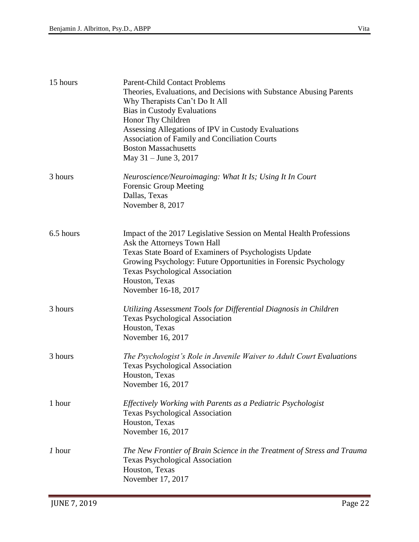| 15 hours  | <b>Parent-Child Contact Problems</b><br>Theories, Evaluations, and Decisions with Substance Abusing Parents<br>Why Therapists Can't Do It All<br><b>Bias in Custody Evaluations</b><br>Honor Thy Children<br>Assessing Allegations of IPV in Custody Evaluations<br><b>Association of Family and Conciliation Courts</b><br><b>Boston Massachusetts</b><br>May $31 -$ June 3, 2017 |
|-----------|------------------------------------------------------------------------------------------------------------------------------------------------------------------------------------------------------------------------------------------------------------------------------------------------------------------------------------------------------------------------------------|
| 3 hours   | Neuroscience/Neuroimaging: What It Is; Using It In Court<br><b>Forensic Group Meeting</b><br>Dallas, Texas<br>November 8, 2017                                                                                                                                                                                                                                                     |
| 6.5 hours | Impact of the 2017 Legislative Session on Mental Health Professions<br>Ask the Attorneys Town Hall<br>Texas State Board of Examiners of Psychologists Update<br>Growing Psychology: Future Opportunities in Forensic Psychology<br><b>Texas Psychological Association</b><br>Houston, Texas<br>November 16-18, 2017                                                                |
| 3 hours   | Utilizing Assessment Tools for Differential Diagnosis in Children<br><b>Texas Psychological Association</b><br>Houston, Texas<br>November 16, 2017                                                                                                                                                                                                                                 |
| 3 hours   | The Psychologist's Role in Juvenile Waiver to Adult Court Evaluations<br><b>Texas Psychological Association</b><br>Houston, Texas<br>November 16, 2017                                                                                                                                                                                                                             |
| 1 hour    | Effectively Working with Parents as a Pediatric Psychologist<br><b>Texas Psychological Association</b><br>Houston, Texas<br>November 16, 2017                                                                                                                                                                                                                                      |
| 1 hour    | The New Frontier of Brain Science in the Treatment of Stress and Trauma<br><b>Texas Psychological Association</b><br>Houston, Texas<br>November 17, 2017                                                                                                                                                                                                                           |
|           |                                                                                                                                                                                                                                                                                                                                                                                    |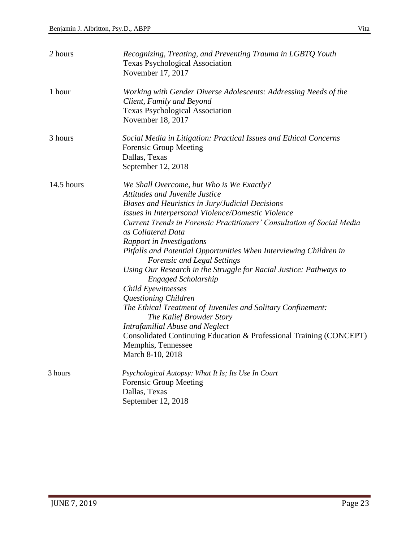| 2 hours    | Recognizing, Treating, and Preventing Trauma in LGBTQ Youth<br><b>Texas Psychological Association</b><br>November 17, 2017                                                                                                                                                                                                                                                                                                                                                                                                                                                                                                                                                                                                                                                                                                                     |
|------------|------------------------------------------------------------------------------------------------------------------------------------------------------------------------------------------------------------------------------------------------------------------------------------------------------------------------------------------------------------------------------------------------------------------------------------------------------------------------------------------------------------------------------------------------------------------------------------------------------------------------------------------------------------------------------------------------------------------------------------------------------------------------------------------------------------------------------------------------|
| 1 hour     | Working with Gender Diverse Adolescents: Addressing Needs of the<br>Client, Family and Beyond<br><b>Texas Psychological Association</b><br>November 18, 2017                                                                                                                                                                                                                                                                                                                                                                                                                                                                                                                                                                                                                                                                                   |
| 3 hours    | Social Media in Litigation: Practical Issues and Ethical Concerns<br><b>Forensic Group Meeting</b><br>Dallas, Texas<br>September 12, 2018                                                                                                                                                                                                                                                                                                                                                                                                                                                                                                                                                                                                                                                                                                      |
| 14.5 hours | We Shall Overcome, but Who is We Exactly?<br><b>Attitudes and Juvenile Justice</b><br>Biases and Heuristics in Jury/Judicial Decisions<br>Issues in Interpersonal Violence/Domestic Violence<br>Current Trends in Forensic Practitioners' Consultation of Social Media<br>as Collateral Data<br>Rapport in Investigations<br>Pitfalls and Potential Opportunities When Interviewing Children in<br><b>Forensic and Legal Settings</b><br>Using Our Research in the Struggle for Racial Justice: Pathways to<br><b>Engaged Scholarship</b><br>Child Eyewitnesses<br>Questioning Children<br>The Ethical Treatment of Juveniles and Solitary Confinement:<br>The Kalief Browder Story<br><b>Intrafamilial Abuse and Neglect</b><br>Consolidated Continuing Education & Professional Training (CONCEPT)<br>Memphis, Tennessee<br>March 8-10, 2018 |
| 3 hours    | Psychological Autopsy: What It Is; Its Use In Court<br><b>Forensic Group Meeting</b><br>Dallas, Texas<br>September 12, 2018                                                                                                                                                                                                                                                                                                                                                                                                                                                                                                                                                                                                                                                                                                                    |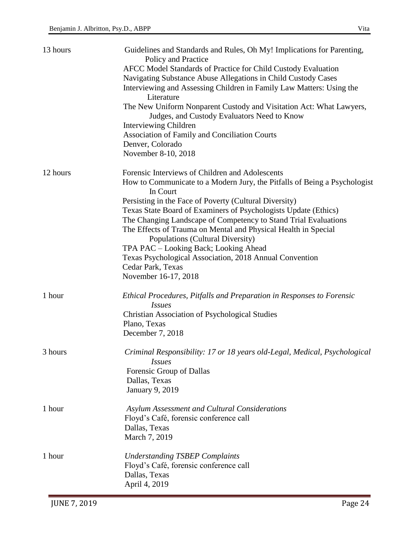| 13 hours | Guidelines and Standards and Rules, Oh My! Implications for Parenting,<br>Policy and Practice<br>AFCC Model Standards of Practice for Child Custody Evaluation<br>Navigating Substance Abuse Allegations in Child Custody Cases<br>Interviewing and Assessing Children in Family Law Matters: Using the<br>Literature                                                                                  |
|----------|--------------------------------------------------------------------------------------------------------------------------------------------------------------------------------------------------------------------------------------------------------------------------------------------------------------------------------------------------------------------------------------------------------|
|          | The New Uniform Nonparent Custody and Visitation Act: What Lawyers,<br>Judges, and Custody Evaluators Need to Know<br><b>Interviewing Children</b>                                                                                                                                                                                                                                                     |
|          | Association of Family and Conciliation Courts<br>Denver, Colorado<br>November 8-10, 2018                                                                                                                                                                                                                                                                                                               |
| 12 hours | Forensic Interviews of Children and Adolescents<br>How to Communicate to a Modern Jury, the Pitfalls of Being a Psychologist<br>In Court                                                                                                                                                                                                                                                               |
|          | Persisting in the Face of Poverty (Cultural Diversity)<br>Texas State Board of Examiners of Psychologists Update (Ethics)<br>The Changing Landscape of Competency to Stand Trial Evaluations<br>The Effects of Trauma on Mental and Physical Health in Special<br>Populations (Cultural Diversity)<br>TPA PAC - Looking Back; Looking Ahead<br>Texas Psychological Association, 2018 Annual Convention |
|          | Cedar Park, Texas<br>November 16-17, 2018                                                                                                                                                                                                                                                                                                                                                              |
| 1 hour   | Ethical Procedures, Pitfalls and Preparation in Responses to Forensic<br><i>Issues</i><br><b>Christian Association of Psychological Studies</b><br>Plano, Texas<br>December 7, 2018                                                                                                                                                                                                                    |
| 3 hours  | Criminal Responsibility: 17 or 18 years old-Legal, Medical, Psychological<br><i>Issues</i><br>Forensic Group of Dallas<br>Dallas, Texas<br><b>January 9, 2019</b>                                                                                                                                                                                                                                      |
| 1 hour   | Asylum Assessment and Cultural Considerations<br>Floyd's Café, forensic conference call<br>Dallas, Texas<br>March 7, 2019                                                                                                                                                                                                                                                                              |
| 1 hour   | <b>Understanding TSBEP Complaints</b><br>Floyd's Café, forensic conference call<br>Dallas, Texas<br>April 4, 2019                                                                                                                                                                                                                                                                                      |